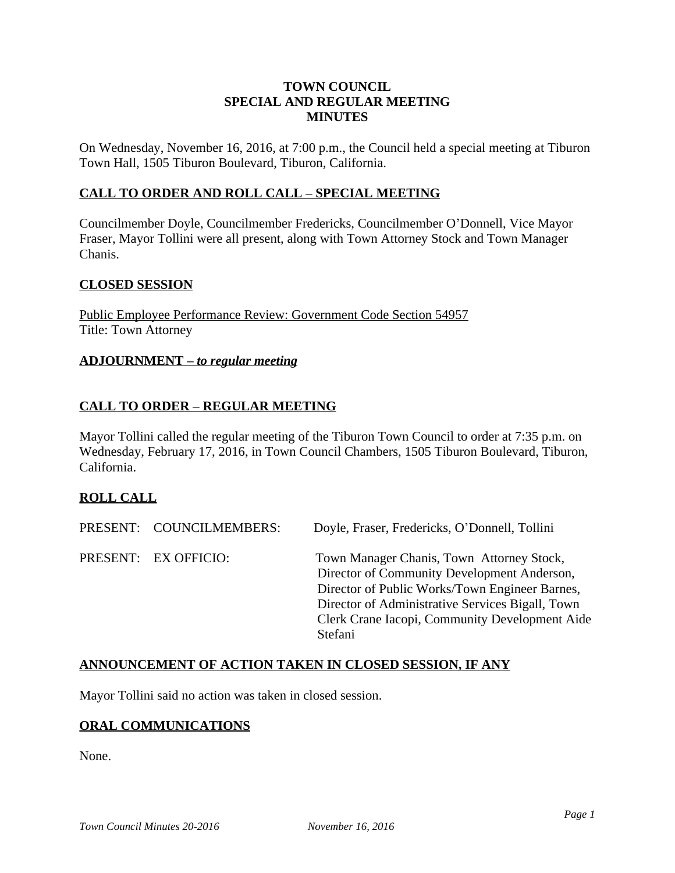## **TOWN COUNCIL SPECIAL AND REGULAR MEETING MINUTES**

On Wednesday, November 16, 2016, at 7:00 p.m., the Council held a special meeting at Tiburon Town Hall, 1505 Tiburon Boulevard, Tiburon, California.

## **CALL TO ORDER AND ROLL CALL – SPECIAL MEETING**

Councilmember Doyle, Councilmember Fredericks, Councilmember O'Donnell, Vice Mayor Fraser, Mayor Tollini were all present, along with Town Attorney Stock and Town Manager Chanis.

## **CLOSED SESSION**

Public Employee Performance Review: Government Code Section 54957 Title: Town Attorney

#### **ADJOURNMENT –** *to regular meeting*

## **CALL TO ORDER – REGULAR MEETING**

Mayor Tollini called the regular meeting of the Tiburon Town Council to order at 7:35 p.m. on Wednesday, February 17, 2016, in Town Council Chambers, 1505 Tiburon Boulevard, Tiburon, California.

## **ROLL CALL**

| PRESENT: COUNCILMEMBERS: | Doyle, Fraser, Fredericks, O'Donnell, Tollini                                                                                                                                                                                                               |
|--------------------------|-------------------------------------------------------------------------------------------------------------------------------------------------------------------------------------------------------------------------------------------------------------|
| PRESENT: EX OFFICIO:     | Town Manager Chanis, Town Attorney Stock,<br>Director of Community Development Anderson,<br>Director of Public Works/Town Engineer Barnes,<br>Director of Administrative Services Bigall, Town<br>Clerk Crane Iacopi, Community Development Aide<br>Stefani |

## **ANNOUNCEMENT OF ACTION TAKEN IN CLOSED SESSION, IF ANY**

Mayor Tollini said no action was taken in closed session.

# **ORAL COMMUNICATIONS**

None.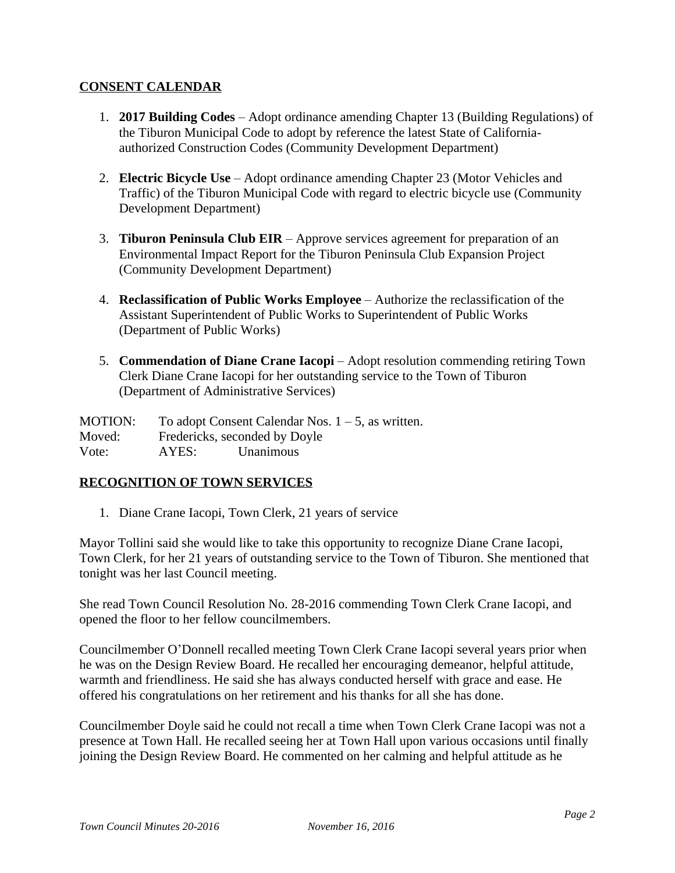## **CONSENT CALENDAR**

- 1. **2017 Building Codes** Adopt ordinance amending Chapter 13 (Building Regulations) of the Tiburon Municipal Code to adopt by reference the latest State of Californiaauthorized Construction Codes (Community Development Department)
- 2. **Electric Bicycle Use** Adopt ordinance amending Chapter 23 (Motor Vehicles and Traffic) of the Tiburon Municipal Code with regard to electric bicycle use (Community Development Department)
- 3. **Tiburon Peninsula Club EIR** Approve services agreement for preparation of an Environmental Impact Report for the Tiburon Peninsula Club Expansion Project (Community Development Department)
- 4. **Reclassification of Public Works Employee** Authorize the reclassification of the Assistant Superintendent of Public Works to Superintendent of Public Works (Department of Public Works)
- 5. **Commendation of Diane Crane Iacopi** Adopt resolution commending retiring Town Clerk Diane Crane Iacopi for her outstanding service to the Town of Tiburon (Department of Administrative Services)

MOTION: To adopt Consent Calendar Nos. 1 – 5, as written. Moved: Fredericks, seconded by Doyle Vote: AYES: Unanimous

# **RECOGNITION OF TOWN SERVICES**

1. Diane Crane Iacopi, Town Clerk, 21 years of service

Mayor Tollini said she would like to take this opportunity to recognize Diane Crane Iacopi, Town Clerk, for her 21 years of outstanding service to the Town of Tiburon. She mentioned that tonight was her last Council meeting.

She read Town Council Resolution No. 28-2016 commending Town Clerk Crane Iacopi, and opened the floor to her fellow councilmembers.

Councilmember O'Donnell recalled meeting Town Clerk Crane Iacopi several years prior when he was on the Design Review Board. He recalled her encouraging demeanor, helpful attitude, warmth and friendliness. He said she has always conducted herself with grace and ease. He offered his congratulations on her retirement and his thanks for all she has done.

Councilmember Doyle said he could not recall a time when Town Clerk Crane Iacopi was not a presence at Town Hall. He recalled seeing her at Town Hall upon various occasions until finally joining the Design Review Board. He commented on her calming and helpful attitude as he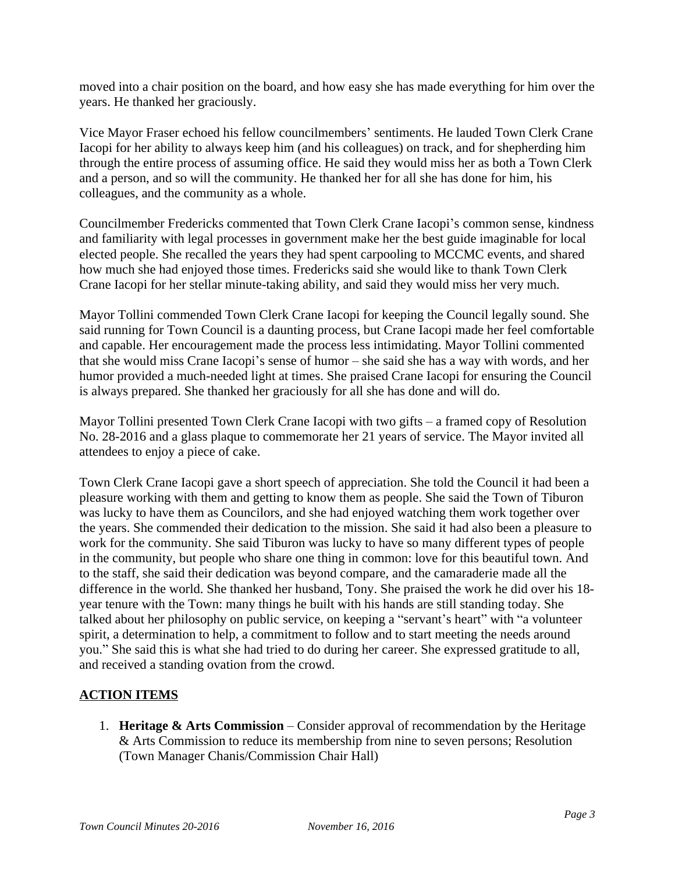moved into a chair position on the board, and how easy she has made everything for him over the years. He thanked her graciously.

Vice Mayor Fraser echoed his fellow councilmembers' sentiments. He lauded Town Clerk Crane Iacopi for her ability to always keep him (and his colleagues) on track, and for shepherding him through the entire process of assuming office. He said they would miss her as both a Town Clerk and a person, and so will the community. He thanked her for all she has done for him, his colleagues, and the community as a whole.

Councilmember Fredericks commented that Town Clerk Crane Iacopi's common sense, kindness and familiarity with legal processes in government make her the best guide imaginable for local elected people. She recalled the years they had spent carpooling to MCCMC events, and shared how much she had enjoyed those times. Fredericks said she would like to thank Town Clerk Crane Iacopi for her stellar minute-taking ability, and said they would miss her very much.

Mayor Tollini commended Town Clerk Crane Iacopi for keeping the Council legally sound. She said running for Town Council is a daunting process, but Crane Iacopi made her feel comfortable and capable. Her encouragement made the process less intimidating. Mayor Tollini commented that she would miss Crane Iacopi's sense of humor – she said she has a way with words, and her humor provided a much-needed light at times. She praised Crane Iacopi for ensuring the Council is always prepared. She thanked her graciously for all she has done and will do.

Mayor Tollini presented Town Clerk Crane Iacopi with two gifts – a framed copy of Resolution No. 28-2016 and a glass plaque to commemorate her 21 years of service. The Mayor invited all attendees to enjoy a piece of cake.

Town Clerk Crane Iacopi gave a short speech of appreciation. She told the Council it had been a pleasure working with them and getting to know them as people. She said the Town of Tiburon was lucky to have them as Councilors, and she had enjoyed watching them work together over the years. She commended their dedication to the mission. She said it had also been a pleasure to work for the community. She said Tiburon was lucky to have so many different types of people in the community, but people who share one thing in common: love for this beautiful town. And to the staff, she said their dedication was beyond compare, and the camaraderie made all the difference in the world. She thanked her husband, Tony. She praised the work he did over his 18 year tenure with the Town: many things he built with his hands are still standing today. She talked about her philosophy on public service, on keeping a "servant's heart" with "a volunteer spirit, a determination to help, a commitment to follow and to start meeting the needs around you." She said this is what she had tried to do during her career. She expressed gratitude to all, and received a standing ovation from the crowd.

# **ACTION ITEMS**

1. **Heritage & Arts Commission** – Consider approval of recommendation by the Heritage & Arts Commission to reduce its membership from nine to seven persons; Resolution (Town Manager Chanis/Commission Chair Hall)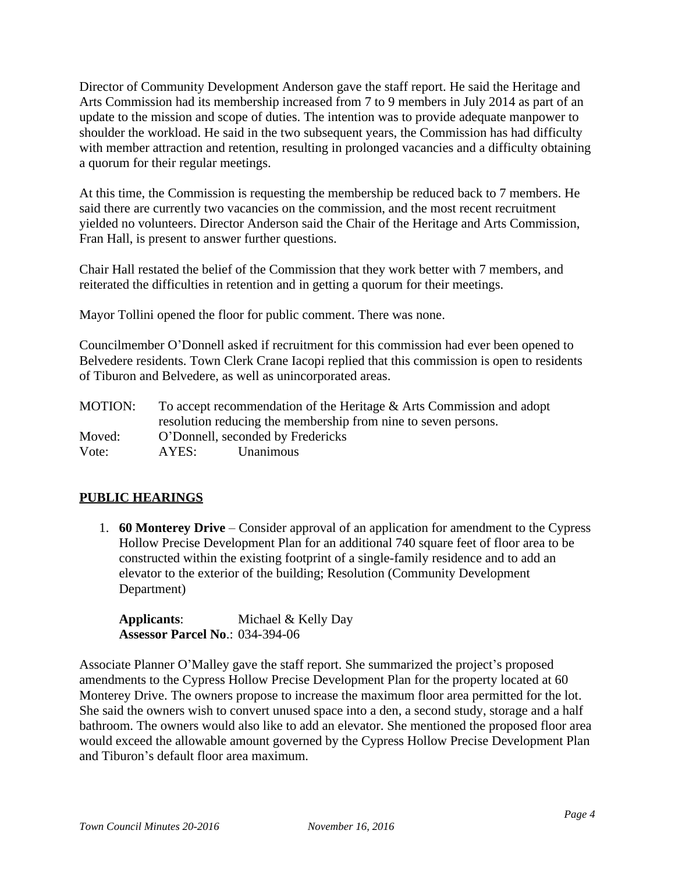Director of Community Development Anderson gave the staff report. He said the Heritage and Arts Commission had its membership increased from 7 to 9 members in July 2014 as part of an update to the mission and scope of duties. The intention was to provide adequate manpower to shoulder the workload. He said in the two subsequent years, the Commission has had difficulty with member attraction and retention, resulting in prolonged vacancies and a difficulty obtaining a quorum for their regular meetings.

At this time, the Commission is requesting the membership be reduced back to 7 members. He said there are currently two vacancies on the commission, and the most recent recruitment yielded no volunteers. Director Anderson said the Chair of the Heritage and Arts Commission, Fran Hall, is present to answer further questions.

Chair Hall restated the belief of the Commission that they work better with 7 members, and reiterated the difficulties in retention and in getting a quorum for their meetings.

Mayor Tollini opened the floor for public comment. There was none.

Councilmember O'Donnell asked if recruitment for this commission had ever been opened to Belvedere residents. Town Clerk Crane Iacopi replied that this commission is open to residents of Tiburon and Belvedere, as well as unincorporated areas.

MOTION: To accept recommendation of the Heritage & Arts Commission and adopt resolution reducing the membership from nine to seven persons. Moved: O'Donnell, seconded by Fredericks Vote: AYES: Unanimous

# **PUBLIC HEARINGS**

1. **60 Monterey Drive** – Consider approval of an application for amendment to the Cypress Hollow Precise Development Plan for an additional 740 square feet of floor area to be constructed within the existing footprint of a single-family residence and to add an elevator to the exterior of the building; Resolution (Community Development Department)

**Applicants**: Michael & Kelly Day **Assessor Parcel No**.: 034-394-06

Associate Planner O'Malley gave the staff report. She summarized the project's proposed amendments to the Cypress Hollow Precise Development Plan for the property located at 60 Monterey Drive. The owners propose to increase the maximum floor area permitted for the lot. She said the owners wish to convert unused space into a den, a second study, storage and a half bathroom. The owners would also like to add an elevator. She mentioned the proposed floor area would exceed the allowable amount governed by the Cypress Hollow Precise Development Plan and Tiburon's default floor area maximum.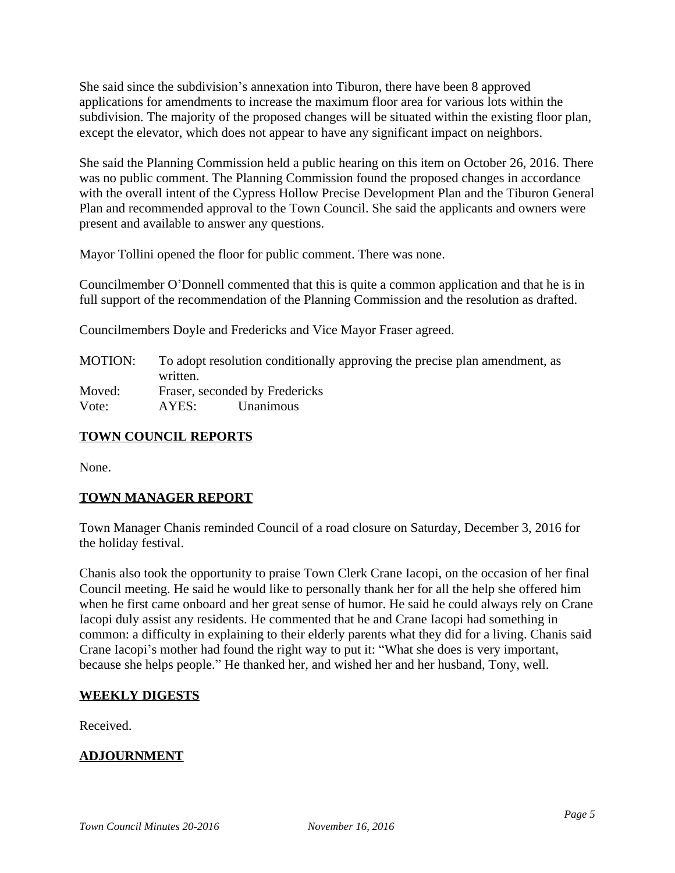She said since the subdivision's annexation into Tiburon, there have been 8 approved applications for amendments to increase the maximum floor area for various lots within the subdivision. The majority of the proposed changes will be situated within the existing floor plan, except the elevator, which does not appear to have any significant impact on neighbors.

She said the Planning Commission held a public hearing on this item on October 26, 2016. There was no public comment. The Planning Commission found the proposed changes in accordance with the overall intent of the Cypress Hollow Precise Development Plan and the Tiburon General Plan and recommended approval to the Town Council. She said the applicants and owners were present and available to answer any questions.

Mayor Tollini opened the floor for public comment. There was none.

Councilmember O'Donnell commented that this is quite a common application and that he is in full support of the recommendation of the Planning Commission and the resolution as drafted.

Councilmembers Doyle and Fredericks and Vice Mayor Fraser agreed.

| MOTION: | To adopt resolution conditionally approving the precise plan amendment, as |           |  |
|---------|----------------------------------------------------------------------------|-----------|--|
|         | written.                                                                   |           |  |
| Moved:  | Fraser, seconded by Fredericks                                             |           |  |
| Vote:   | AYES:                                                                      | Unanimous |  |

# **TOWN COUNCIL REPORTS**

None.

# **TOWN MANAGER REPORT**

Town Manager Chanis reminded Council of a road closure on Saturday, December 3, 2016 for the holiday festival.

Chanis also took the opportunity to praise Town Clerk Crane Iacopi, on the occasion of her final Council meeting. He said he would like to personally thank her for all the help she offered him when he first came onboard and her great sense of humor. He said he could always rely on Crane Iacopi duly assist any residents. He commented that he and Crane Iacopi had something in common: a difficulty in explaining to their elderly parents what they did for a living. Chanis said Crane Iacopi's mother had found the right way to put it: "What she does is very important, because she helps people." He thanked her, and wished her and her husband, Tony, well.

## **WEEKLY DIGESTS**

Received.

# **ADJOURNMENT**